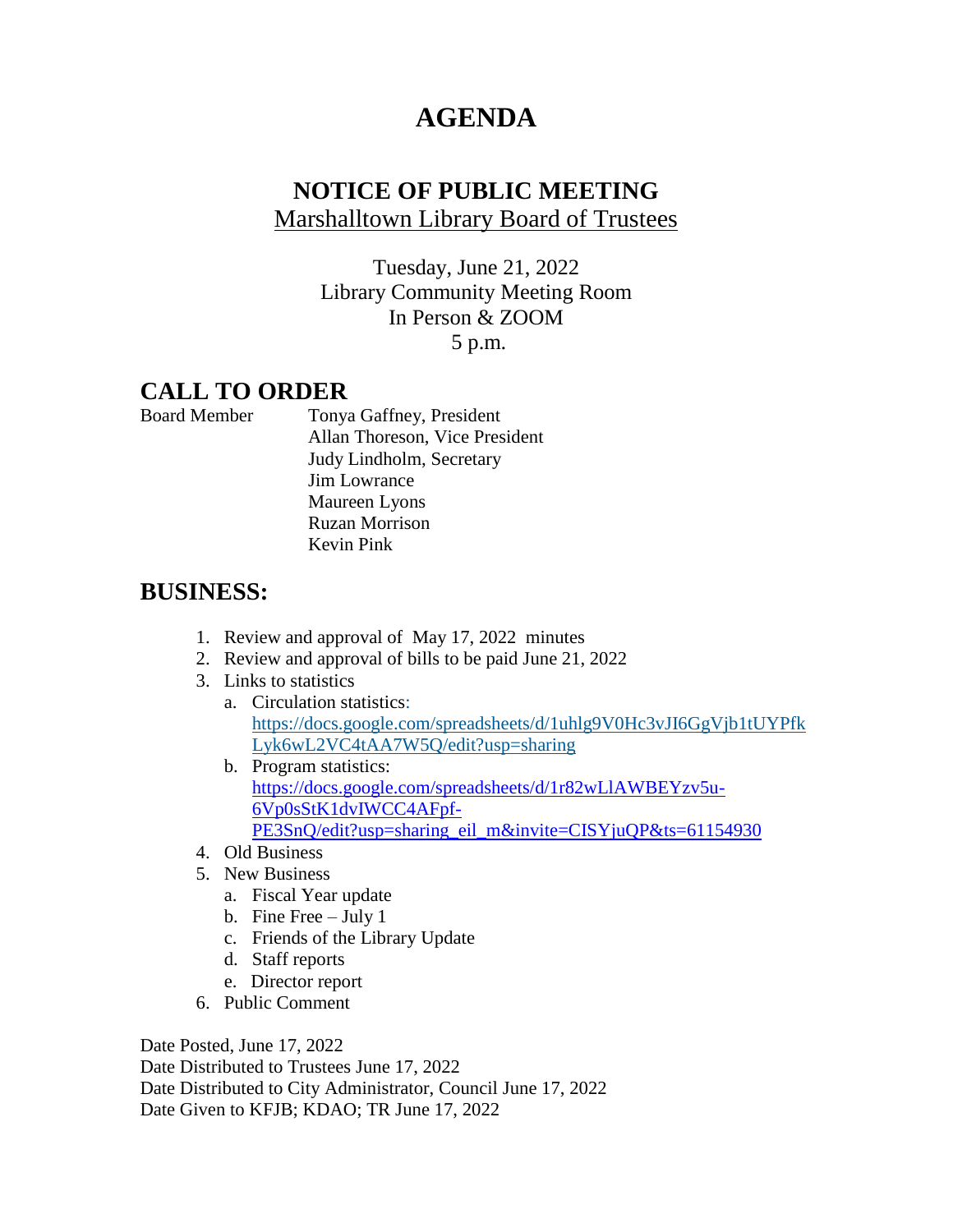## **AGENDA**

## **NOTICE OF PUBLIC MEETING** Marshalltown Library Board of Trustees

Tuesday, June 21, 2022 Library Community Meeting Room In Person & ZOOM 5 p.m.

## **CALL TO ORDER**

Board Member Tonya Gaffney, President Allan Thoreson, Vice President Judy Lindholm, Secretary Jim Lowrance Maureen Lyons Ruzan Morrison Kevin Pink

## **BUSINESS:**

- 1. Review and approval of May 17, 2022 minutes
- 2. Review and approval of bills to be paid June 21, 2022
- 3. Links to statistics
	- a. Circulation statistics: [https://docs.google.com/spreadsheets/d/1uhlg9V0Hc3vJI6GgVjb1tUYPfk](https://docs.google.com/spreadsheets/d/1uhlg9V0Hc3vJI6GgVjb1tUYPfkLyk6wL2VC4tAA7W5Q/edit?usp=sharing) [Lyk6wL2VC4tAA7W5Q/edit?usp=sharing](https://docs.google.com/spreadsheets/d/1uhlg9V0Hc3vJI6GgVjb1tUYPfkLyk6wL2VC4tAA7W5Q/edit?usp=sharing)
	- b. Program statistics: [https://docs.google.com/spreadsheets/d/1r82wLlAWBEYzv5u-](https://docs.google.com/spreadsheets/d/1r82wLlAWBEYzv5u-6Vp0sStK1dvIWCC4AFpf-PE3SnQ/edit?usp=sharing_eil_m&invite=CISYjuQP&ts=61154930)[6Vp0sStK1dvIWCC4AFpf-](https://docs.google.com/spreadsheets/d/1r82wLlAWBEYzv5u-6Vp0sStK1dvIWCC4AFpf-PE3SnQ/edit?usp=sharing_eil_m&invite=CISYjuQP&ts=61154930)[PE3SnQ/edit?usp=sharing\\_eil\\_m&invite=CISYjuQP&ts=61154930](https://docs.google.com/spreadsheets/d/1r82wLlAWBEYzv5u-6Vp0sStK1dvIWCC4AFpf-PE3SnQ/edit?usp=sharing_eil_m&invite=CISYjuQP&ts=61154930)
- 4. Old Business
- 5. New Business
	- a. Fiscal Year update
	- b. Fine Free July 1
	- c. Friends of the Library Update
	- d. Staff reports
	- e. Director report
- 6. Public Comment

Date Posted, June 17, 2022

Date Distributed to Trustees June 17, 2022 Date Distributed to City Administrator, Council June 17, 2022 Date Given to KFJB; KDAO; TR June 17, 2022